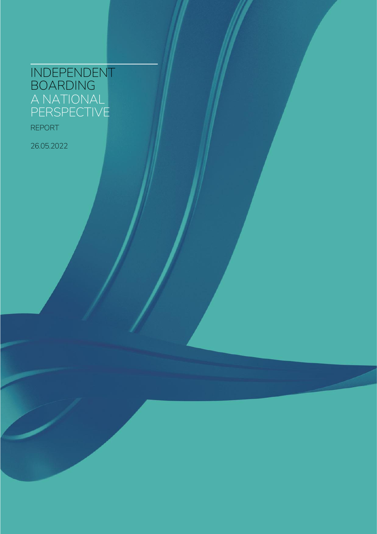## **INDEPENDENT BOARDING A NATIONAL PERSPECTIVE**

**REPORT** 

26.05.2022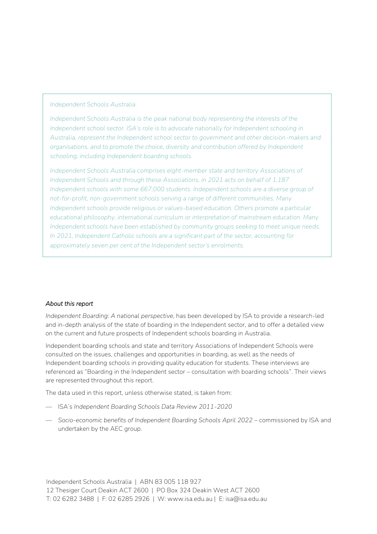#### *Independent Schools Australia*

*Independent Schools Australia is the peak national body representing the interests of the Independent school sector. ISA's role is to advocate nationally for Independent schooling in Australia, represent the Independent school sector to government and other decision-makers and organisations, and to promote the choice, diversity and contribution offered by Independent schooling, including Independent boarding schools.*

*Independent Schools Australia comprises eight-member state and territory Associations of Independent Schools and through these Associations, in 2021 acts on behalf of 1,187 Independent schools with some 667,000 students. Independent schools are a diverse group of not-for-profit, non-government schools serving a range of different communities. Many Independent schools provide religious or values-based education. Others promote a particular educational philosophy, international curriculum or interpretation of mainstream education. Many Independent schools have been established by community groups seeking to meet unique needs. In 2021, Independent Catholic schools are a significant part of the sector, accounting for approximately seven per cent of the Independent sector's enrolments.*

#### *About this report*

*Independent Boarding: A national perspective, has been developed by ISA to provide a research-led* and in-depth analysis of the state of boarding in the Independent sector, and to offer a detailed view on the current and future prospects of Independent schools boarding in Australia.

Independent boarding schools and state and territory Associations of Independent Schools were consulted on the issues, challenges and opportunities in boarding, as well as the needs of Independent boarding schools in providing quality education for students. These interviews are referenced as "Boarding in the Independent sector – consultation with boarding schools". Their views are represented throughout this report.

The data used in this report, unless otherwise stated, is taken from:

- ISA's *Independent Boarding Schools Data Review 2011-2020*
- *Socio-economic benefits of Independent Boarding Schools April 2022* commissioned by ISA and undertaken by the AEC group.

Independent Schools Australia | ABN 83 005 118 927 12 Thesiger Court Deakin ACT 2600 | PO Box 324 Deakin West ACT 2600 T: 02 6282 3488 | F: 02 6285 2926 | W: www.isa.edu.au | E: isa@isa.edu.au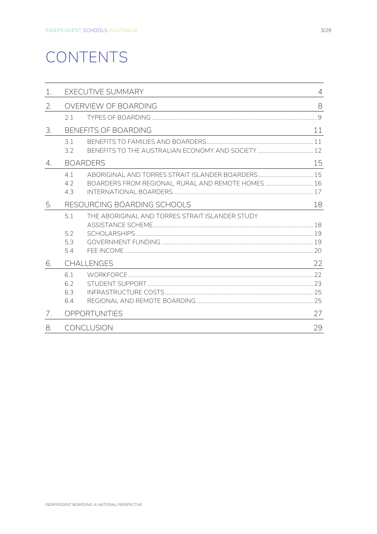# CONTENTS

| 1.                              |                             | EXECUTIVE SUMMARY                                  | $\overline{4}$ |  |
|---------------------------------|-----------------------------|----------------------------------------------------|----------------|--|
| 2.                              |                             | OVERVIEW OF BOARDING                               | 8              |  |
|                                 | 21                          |                                                    |                |  |
| 3.                              |                             | <b>BENEFITS OF BOARDING</b>                        | 11             |  |
|                                 | 31<br>3.2                   |                                                    |                |  |
| $4_{\scriptscriptstyle{\perp}}$ | <b>BOARDERS</b>             |                                                    |                |  |
|                                 | 41<br>42<br>43              | BOARDERS FROM REGIONAL, RURAL AND REMOTE HOMES  16 |                |  |
| 5.                              | RESOURCING BOARDING SCHOOLS |                                                    |                |  |
|                                 | 51<br>52<br>5.3<br>5.4      | THE ABORIGINAL AND TORRES STRAIT ISLANDER STUDY    |                |  |
| 6.                              | <b>CHALLENGES</b>           |                                                    |                |  |
|                                 | 61<br>6.2<br>6.3<br>64      |                                                    |                |  |
| 7.                              |                             | OPPORTUNITIES                                      |                |  |
| 8.                              | <b>CONCLUSION</b>           |                                                    |                |  |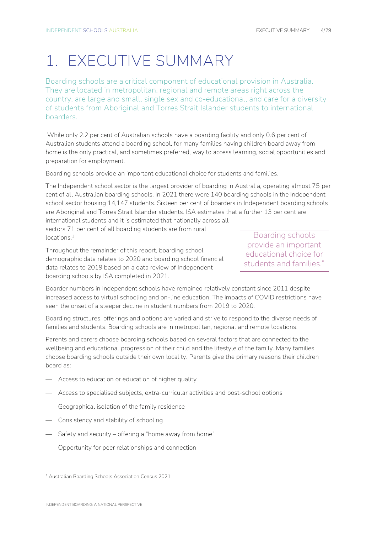## <span id="page-3-0"></span>1. EXECUTIVE SUMMARY

Boarding schools are a critical component of educational provision in Australia. They are located in metropolitan, regional and remote areas right across the country, are large and small, single sex and co-educational, and care for a diversity of students from Aboriginal and Torres Strait Islander students to international boarders.

While only 2.2 per cent of Australian schools have a boarding facility and only 0.6 per cent of Australian students attend a boarding school, for many families having children board away from home is the only practical, and sometimes preferred, way to access learning, social opportunities and preparation for employment.

Boarding schools provide an important educational choice for students and families.

The Independent school sector is the largest provider of boarding in Australia, operating almost 75 per cent of all Australian boarding schools. In 2021 there were 140 boarding schools in the Independent school sector housing 14,147 students. Sixteen per cent of boarders in Independent boarding schools are Aboriginal and Torres Strait Islander students. ISA estimates that a further 13 per cent are international students and it is estimated that nationally across all

sectors 71 per cent of all boarding students are from rural locations.<sup>1</sup>

Throughout the remainder of this report, boarding school demographic data relates to 2020 and boarding school financial data relates to 2019 based on a data review of Independent boarding schools by ISA completed in 2021.

Boarding schools provide an important educational choice for students and families'

Boarder numbers in Independent schools have remained relatively constant since 2011 despite increased access to virtual schooling and on-line education. The impacts of COVID restrictions have seen the onset of a steeper decline in student numbers from 2019 to 2020.

Boarding structures, offerings and options are varied and strive to respond to the diverse needs of families and students. Boarding schools are in metropolitan, regional and remote locations.

Parents and carers choose boarding schools based on several factors that are connected to the wellbeing and educational progression of their child and the lifestyle of the family. Many families choose boarding schools outside their own locality. Parents give the primary reasons their children board as:

- Access to education or education of higher quality
- Access to specialised subjects, extra-curricular activities and post-school options
- Geographical isolation of the family residence
- Consistency and stability of schooling
- Safety and security offering a "home away from home"
- Opportunity for peer relationships and connection

<sup>1</sup> Australian Boarding Schools Association Census 2021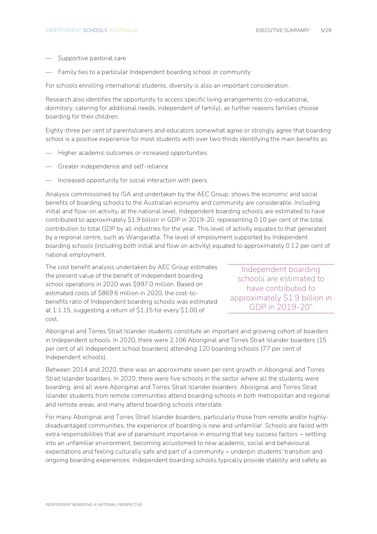- Supportive pastoral care
- Family ties to a particular Independent boarding school or community

For schools enrolling international students, diversity is also an important consideration.

Research also identifies the opportunity to access specific living arrangements (co-educational, dormitory, catering for additional needs, independent of family), as further reasons families choose boarding for their children.

Eighty-three per cent of parents/carers and educators somewhat agree or strongly agree that boarding school is a positive experience for most students with over two thirds identifying the main benefits as:

- Higher academic outcomes or increased opportunities
- Greater independence and self-reliance
- Increased opportunity for social interaction with peers.

Analysis commissioned by ISA and undertaken by the AEC Group, shows the economic and social benefits of boarding schools to the Australian economy and community are considerable. Including initial and flow-on activity, at the national level, Independent boarding schools are estimated to have contributed to approximately \$1.9 billion in GDP in 2019-20, representing 0.10 per cent of the total contribution to total GDP by all industries for the year. This level of activity equates to that generated by a regional centre, such as Wangaratta. The level of employment supported by Independent boarding schools (including both initial and flow on activity) equated to approximately 0.12 per cent of national employment.

The cost benefit analysis undertaken by AEC Group estimates the present value of the benefit of Independent boarding school operations in 2020 was \$997.0 million. Based on estimated costs of \$869.6 million in 2020, the cost-tobenefits ratio of Independent boarding schools was estimated at 1:1.15, suggesting a return of \$1.15 for every \$1.00 of cost.

Independent boarding schools are estimated to have contributed to approximately \$1.9 billion in GDP in 2019-20"

Aboriginal and Torres Strait Islander students constitute an important and growing cohort of boarders in Independent schools. In 2020, there were 2,106 Aboriginal and Torres Strait Islander boarders (15 per cent of all Independent school boarders) attending 120 boarding schools (77 per cent of Independent schools).

Between 2014 and 2020, there was an approximate seven per cent growth in Aboriginal and Torres Strait Islander boarders. In 2020, there were five schools in the sector where all the students were boarding, and all were Aboriginal and Torres Strait Islander boarders. Aboriginal and Torres Strait Islander students from remote communities attend boarding schools in both metropolitan and regional and remote areas, and many attend boarding schools interstate.

For many Aboriginal and Torres Strait Islander boarders, particularly those from remote and/or highlydisadvantaged communities, the experience of boarding is new and unfamiliar. Schools are faced with extra responsibilities that are of paramount importance in ensuring that key success factors – settling into an unfamiliar environment, becoming accustomed to new academic, social and behavioural expectations and feeling culturally safe and part of a community − underpin students' transition and ongoing boarding experiences. Independent boarding schools typically provide stability and safety as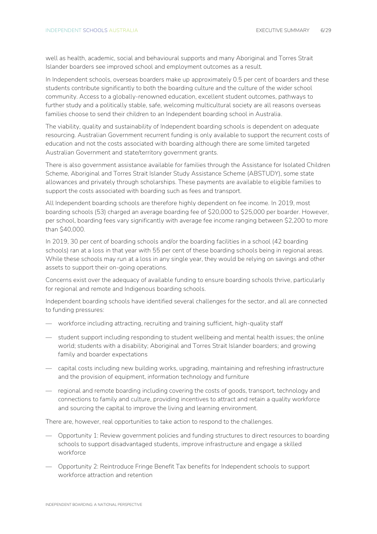well as health, academic, social and behavioural supports and many Aboriginal and Torres Strait Islander boarders see improved school and employment outcomes as a result.

In Independent schools, overseas boarders make up approximately 0.5 per cent of boarders and these students contribute significantly to both the boarding culture and the culture of the wider school community. Access to a globally-renowned education, excellent student outcomes, pathways to further study and a politically stable, safe, welcoming multicultural society are all reasons overseas families choose to send their children to an Independent boarding school in Australia.

The viability, quality and sustainability of Independent boarding schools is dependent on adequate resourcing. Australian Government recurrent funding is only available to support the recurrent costs of education and not the costs associated with boarding although there are some limited targeted Australian Government and state/territory government grants.

There is also government assistance available for families through the Assistance for Isolated Children Scheme, Aboriginal and Torres Strait Islander Study Assistance Scheme (ABSTUDY), some state allowances and privately through scholarships. These payments are available to eligible families to support the costs associated with boarding such as fees and transport.

All Independent boarding schools are therefore highly dependent on fee income. In 2019, most boarding schools (53) charged an average boarding fee of \$20,000 to \$25,000 per boarder. However, per school, boarding fees vary significantly with average fee income ranging between \$2,200 to more than \$40,000.

In 2019, 30 per cent of boarding schools and/or the boarding facilities in a school (42 boarding schools) ran at a loss in that year with 55 per cent of these boarding schools being in regional areas. While these schools may run at a loss in any single year, they would be relying on savings and other assets to support their on-going operations.

Concerns exist over the adequacy of available funding to ensure boarding schools thrive, particularly for regional and remote and Indigenous boarding schools.

Independent boarding schools have identified several challenges for the sector, and all are connected to funding pressures:

- workforce including attracting, recruiting and training sufficient, high-quality staff
- student support including responding to student wellbeing and mental health issues; the online world; students with a disability; Aboriginal and Torres Strait Islander boarders; and growing family and boarder expectations
- capital costs including new building works, upgrading, maintaining and refreshing infrastructure and the provision of equipment, information technology and furniture
- regional and remote boarding including covering the costs of goods, transport, technology and connections to family and culture, providing incentives to attract and retain a quality workforce and sourcing the capital to improve the living and learning environment.

There are, however, real opportunities to take action to respond to the challenges.

- Opportunity 1: Review government policies and funding structures to direct resources to boarding schools to support disadvantaged students, improve infrastructure and engage a skilled workforce
- Opportunity 2: Reintroduce Fringe Benefit Tax benefits for Independent schools to support workforce attraction and retention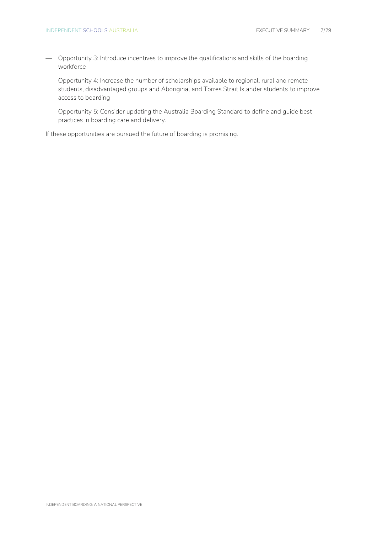- Opportunity 3: Introduce incentives to improve the qualifications and skills of the boarding workforce
- Opportunity 4: Increase the number of scholarships available to regional, rural and remote students, disadvantaged groups and Aboriginal and Torres Strait Islander students to improve access to boarding
- Opportunity 5: Consider updating the Australia Boarding Standard to define and guide best practices in boarding care and delivery.

If these opportunities are pursued the future of boarding is promising.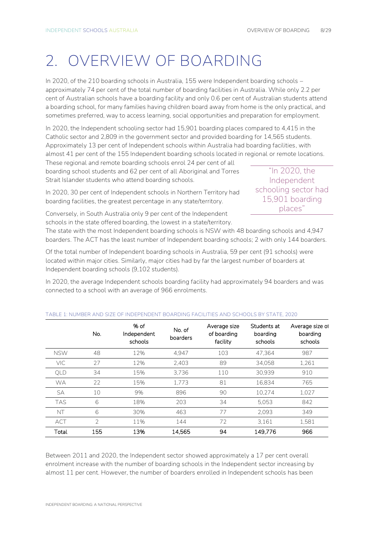## <span id="page-7-0"></span>2. OVERVIEW OF BOARDING

In 2020, of the 210 boarding schools in Australia, 155 were Independent boarding schools – approximately 74 per cent of the total number of boarding facilities in Australia. While only 2.2 per cent of Australian schools have a boarding facility and only 0.6 per cent of Australian students attend a boarding school, for many families having children board away from home is the only practical, and sometimes preferred, way to access learning, social opportunities and preparation for employment.

In 2020, the Independent schooling sector had 15,901 boarding places compared to 4,415 in the Catholic sector and 2,809 in the government sector and provided boarding for 14,565 students. Approximately 13 per cent of Independent schools within Australia had boarding facilities, with almost 41 per cent of the 155 Independent boarding schools located in regional or remote locations.

These regional and remote boarding schools enrol 24 per cent of all boarding school students and 62 per cent of all Aboriginal and Torres Strait Islander students who attend boarding schools.

"In 2020, the Independent schooling sector had 15,901 boarding places"

In 2020, 30 per cent of Independent schools in Northern Territory had boarding facilities, the greatest percentage in any state/territory.

Conversely, in South Australia only 9 per cent of the Independent schools in the state offered boarding, the lowest in a state/territory.

The state with the most Independent boarding schools is NSW with 48 boarding schools and 4,947 boarders. The ACT has the least number of Independent boarding schools; 2 with only 144 boarders.

Of the total number of Independent boarding schools in Australia, 59 per cent (91 schools) were located within major cities. Similarly, major cities had by far the largest number of boarders at Independent boarding schools (9,102 students).

In 2020, the average Independent schools boarding facility had approximately 94 boarders and was connected to a school with an average of 966 enrolments.

|            | No.            | % of<br>Independent<br>schools | No. of<br>boarders | Average size<br>of boarding<br>facility | Students at<br>boarding<br>schools | Average size of<br>boarding<br>schools |
|------------|----------------|--------------------------------|--------------------|-----------------------------------------|------------------------------------|----------------------------------------|
| <b>NSW</b> | 48             | 12%                            | 4.947              | 103                                     | 47,364                             | 987                                    |
| <b>VIC</b> | 27             | 12%                            | 2.403              | 89                                      | 34.058                             | 1,261                                  |
| QLD        | 34             | 15%                            | 3.736              | 110                                     | 30.939                             | 910                                    |
| <b>WA</b>  | 22             | 15%                            | 1.773              | 81                                      | 16,834                             | 765                                    |
| SA         | 10             | 9%                             | 896                | 90                                      | 10,274                             | 1,027                                  |
| <b>TAS</b> | 6              | 18%                            | 203                | 34                                      | 5.053                              | 842                                    |
| NT         | 6              | 30%                            | 463                | 77                                      | 2.093                              | 349                                    |
| <b>ACT</b> | $\overline{2}$ | 11%                            | 144                | 72                                      | 3,161                              | 1.581                                  |
| Total      | 155            | 13%                            | 14.565             | 94                                      | 149.776                            | 966                                    |

#### **TABLE 1: NUMBER AND SIZE OF INDEPENDENT BOARDING FACILITIES AND SCHOOLS BY STATE, 2020**

Between 2011 and 2020, the Independent sector showed approximately a 17 per cent overall enrolment increase with the number of boarding schools in the Independent sector increasing by almost 11 per cent. However, the number of boarders enrolled in Independent schools has been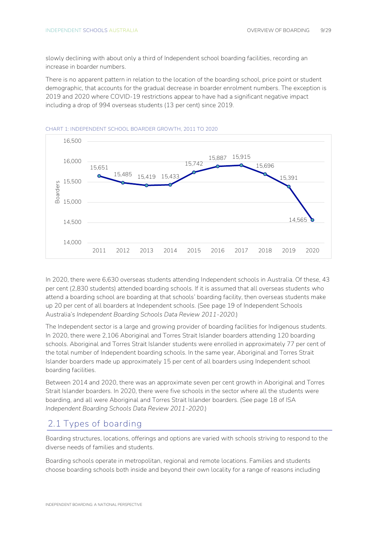slowly declining with about only a third of Independent school boarding facilities, recording an increase in boarder numbers.

There is no apparent pattern in relation to the location of the boarding school, price point or student demographic, that accounts for the gradual decrease in boarder enrolment numbers. The exception is 2019 and 2020 where COVID-19 restrictions appear to have had a significant negative impact including a drop of 994 overseas students (13 per cent) since 2019.



#### **CHART 1: INDEPENDENT SCHOOL BOARDER GROWTH, 2011 TO 2020**

In 2020, there were 6,630 overseas students attending Independent schools in Australia. Of these, 43 per cent (2,830 students) attended boarding schools. If it is assumed that all overseas students who attend a boarding school are boarding at that schools' boarding facility, then overseas students make up 20 per cent of all boarders at Independent schools. (See page 19 of Independent Schools Australia's *Independent Boarding Schools Data Review 2011-2020.*)

The Independent sector is a large and growing provider of boarding facilities for Indigenous students. In 2020, there were 2,106 Aboriginal and Torres Strait Islander boarders attending 120 boarding schools. Aboriginal and Torres Strait Islander students were enrolled in approximately 77 per cent of the total number of Independent boarding schools. In the same year, Aboriginal and Torres Strait Islander boarders made up approximately 15 per cent of all boarders using Independent school boarding facilities.

Between 2014 and 2020, there was an approximate seven per cent growth in Aboriginal and Torres Strait Islander boarders. In 2020, there were five schools in the sector where all the students were boarding, and all were Aboriginal and Torres Strait Islander boarders. (See page 18 of ISA *Independent Boarding Schools Data Review 2011-2020*.)

### <span id="page-8-0"></span>**2.1 Types of boarding**

Boarding structures, locations, offerings and options are varied with schools striving to respond to the diverse needs of families and students.

Boarding schools operate in metropolitan, regional and remote locations. Families and students choose boarding schools both inside and beyond their own locality for a range of reasons including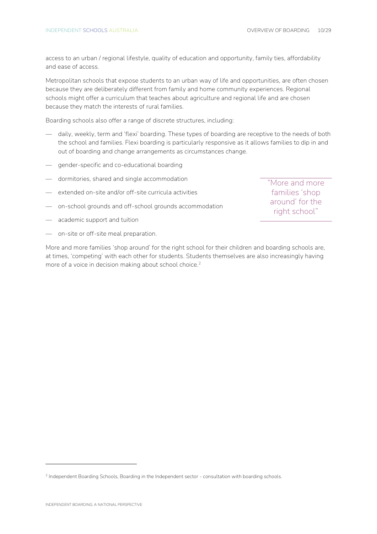access to an urban / regional lifestyle, quality of education and opportunity, family ties, affordability and ease of access.

Metropolitan schools that expose students to an urban way of life and opportunities, are often chosen because they are deliberately different from family and home community experiences. Regional schools might offer a curriculum that teaches about agriculture and regional life and are chosen because they match the interests of rural families.

Boarding schools also offer a range of discrete structures, including:

- daily, weekly, term and 'flexi' boarding. These types of boarding are receptive to the needs of both the school and families. Flexi boarding is particularly responsive as it allows families to dip in and out of boarding and change arrangements as circumstances change.
- gender-specific and co-educational boarding
- dormitories, shared and single accommodation
- extended on-site and/or off-site curricula activities
- on-school grounds and off-school grounds accommodation
- academic support and tuition
- on-site or off-site meal preparation.

More and more families 'shop around' for the right school for their children and boarding schools are, at times, 'competing' with each other for students. Students themselves are also increasingly having more of a voice in decision making about school choice.<sup>2</sup>

"More and more families 'shop around' for the right school"

<sup>&</sup>lt;sup>2</sup> Independent Boarding Schools, Boarding in the Independent sector - consultation with boarding schools.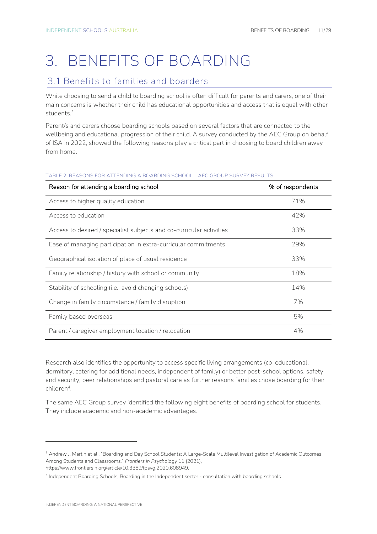# <span id="page-10-0"></span>3. BENEFITS OF BOARDING

## <span id="page-10-1"></span>**3.1 Benefits to families and boarders**

While choosing to send a child to boarding school is often difficult for parents and carers, one of their main concerns is whether their child has educational opportunities and access that is equal with other students. 3

Parent/s and carers choose boarding schools based on several factors that are connected to the wellbeing and educational progression of their child. A survey conducted by the AEC Group on behalf of ISA in 2022, showed the following reasons play a critical part in choosing to board children away from home.

## Reason for attending a boarding school with the state of the separation of the Separation of the Separation of the Separation of the Separation of the Separation of the Separation of the Separation of the Separation of the Access to higher quality education **71%** Access to higher quality education Access to education 42% Access to desired / specialist subjects and co-curricular activities 33% Ease of managing participation in extra-curricular commitments 29% Geographical isolation of place of usual residence  $33\%$ Family relationship / history with school or community 18% Stability of schooling (i.e., avoid changing schools) and the state of the state of the state of the state of the state of the state of the state of the state of the state of the state of the state of the state of the stat Change in family circumstance / family disruption Theorem 7% Family based overseas 5% Parent / caregiver employment location / relocation  $4\%$

#### **TABLE 2: REASONS FOR ATTENDING A BOARDING SCHOOL – AEC GROUP SURVEY RESULTS**

Research also identifies the opportunity to access specific living arrangements (co-educational, dormitory, catering for additional needs, independent of family) or better post-school options, safety and security, peer relationships and pastoral care as further reasons families chose boarding for their children<sup>4</sup> .

The same AEC Group survey identified the following eight benefits of boarding school for students. They include academic and non-academic advantages.

https://www.frontiersin.org/article/10.3389/fpsyg.2020.608949.

<sup>&</sup>lt;sup>3</sup> Andrew J. Martin et al., "Boarding and Day School Students: A Large-Scale Multilevel Investigation of Academic Outcomes Among Students and Classrooms," *Frontiers in Psychology* 11 (2021),

<sup>4</sup> Independent Boarding Schools, Boarding in the Independent sector - consultation with boarding schools.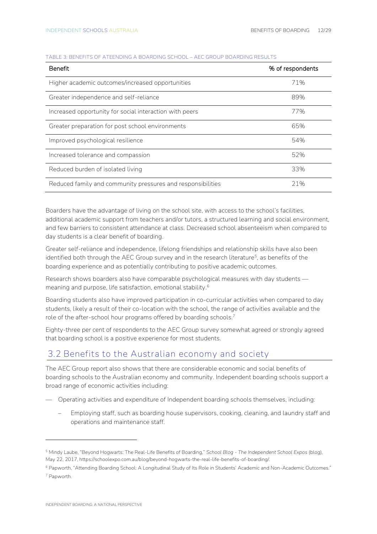| <b>Benefit</b>                                              | % of respondents |
|-------------------------------------------------------------|------------------|
| Higher academic outcomes/increased opportunities            | 71%              |
| Greater independence and self-reliance                      | 89%              |
| Increased opportunity for social interaction with peers     | 77%              |
| Greater preparation for post school environments            | 65%              |
| Improved psychological resilience                           | 54%              |
| Increased tolerance and compassion                          | 52%              |
| Reduced burden of isolated living                           | 33%              |
| Reduced family and community pressures and responsibilities | 21%              |

#### **TABLE 3: BENEFITS OF ATEENDING A BOARDING SCHOOL – AEC GROUP BOARDING RESULTS**

Boarders have the advantage of living on the school site, with access to the school's facilities, additional academic support from teachers and/or tutors, a structured learning and social environment, and few barriers to consistent attendance at class. Decreased school absenteeism when compared to day students is a clear benefit of boarding.

Greater self-reliance and independence, lifelong friendships and relationship skills have also been identified both through the AEC Group survey and in the research literature<sup>5</sup>, as benefits of the boarding experience and as potentially contributing to positive academic outcomes.

Research shows boarders also have comparable psychological measures with day students meaning and purpose, life satisfaction, emotional stability. 6

Boarding students also have improved participation in co-curricular activities when compared to day students, likely a result of their co-location with the school, the range of activities available and the role of the after-school hour programs offered by boarding schools.<sup>7</sup>

Eighty-three per cent of respondents to the AEC Group survey somewhat agreed or strongly agreed that boarding school is a positive experience for most students.

## <span id="page-11-0"></span>**3.2 Benefits to the Australian economy and society**

The AEC Group report also shows that there are considerable economic and social benefits of boarding schools to the Australian economy and community. Independent boarding schools support a broad range of economic activities including:

- Operating activities and expenditure of Independent boarding schools themselves, including:
	- Employing staff, such as boarding house supervisors, cooking, cleaning, and laundry staff and operations and maintenance staff.

<sup>5</sup> Mindy Laube, "Beyond Hogwarts: The Real-Life Benefits of Boarding," *School Blog - The Independent School Expos* (blog), May 22, 2017, https://schoolexpo.com.au/blog/beyond-hogwarts-the-real-life-benefits-of-boarding/.

<sup>6</sup> Papworth, "Attending Boarding School: A Longitudinal Study of Its Role in Students' Academic and Non-Academic Outcomes." <sup>7</sup> Papworth.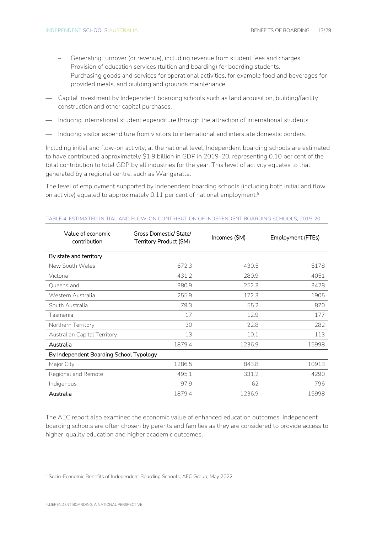- Generating turnover (or revenue), including revenue from student fees and charges.
- Provision of education services (tuition and boarding) for boarding students.
- Purchasing goods and services for operational activities, for example food and beverages for provided meals, and building and grounds maintenance.
- Capital investment by Independent boarding schools such as land acquisition, building/facility construction and other capital purchases.
- Inducing International student expenditure through the attraction of international students.
- Inducing visitor expenditure from visitors to international and interstate domestic borders.

Including initial and flow-on activity, at the national level, Independent boarding schools are estimated to have contributed approximately \$1.9 billion in GDP in 2019-20, representing 0.10 per cent of the total contribution to total GDP by all industries for the year. This level of activity equates to that generated by a regional centre, such as Wangaratta.

The level of employment supported by Independent boarding schools (including both initial and flow on activity) equated to approximately 0.11 per cent of national employment.<sup>8</sup>

| Value of economic<br>contribution       | Gross Domestic/ State/<br>Territory Product (\$M) | Incomes (SM) | Employment (FTEs) |  |
|-----------------------------------------|---------------------------------------------------|--------------|-------------------|--|
| By state and territory                  |                                                   |              |                   |  |
| New South Wales                         | 672.3                                             | 430.5        | 5178              |  |
| Victoria                                | 431.2                                             | 280.9        | 4051              |  |
| Queensland                              | 380.9                                             | 252.3        | 3428              |  |
| Western Australia                       | 255.9                                             | 172.3        | 1905              |  |
| South Australia                         | 79.3                                              | 55.2         | 870               |  |
| Tasmania                                | 17                                                | 12.9         | 177               |  |
| Northern Territory                      | 30                                                | 22.8         | 282               |  |
| Australian Capital Territory            | 13                                                | 10.1         | 113               |  |
| Australia                               | 1879.4                                            | 1236.9       | 15998             |  |
| By Independent Boarding School Typology |                                                   |              |                   |  |
| Major City                              | 1286.5                                            | 843.8        | 10913             |  |
| Regional and Remote                     | 495.1                                             | 331.2        | 4290              |  |
| Indigenous                              | 97.9                                              | 62           | 796               |  |
| Australia                               | 1879.4                                            | 1236.9       | 15998             |  |

#### **TABLE 4: ESTIMATED INITIAL AND FLOW-ON CONTRIBUTION OF INDEPENDENT BOARDING SCHOOLS, 2019-20**

The AEC report also examined the economic value of enhanced education outcomes. Independent boarding schools are often chosen by parents and families as they are considered to provide access to higher-quality education and higher academic outcomes.

<sup>&</sup>lt;sup>8</sup> Socio-Economic Benefits of Independent Boarding Schools, AEC Group, May 2022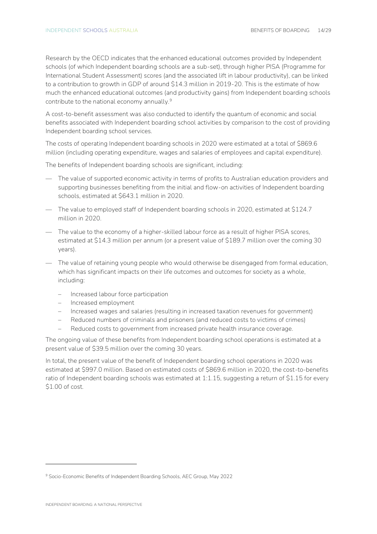Research by the OECD indicates that the enhanced educational outcomes provided by Independent schools (of which Independent boarding schools are a sub-set), through higher PISA (Programme for International Student Assessment) scores (and the associated lift in labour productivity), can be linked to a contribution to growth in GDP of around \$14.3 million in 2019-20. This is the estimate of how much the enhanced educational outcomes (and productivity gains) from Independent boarding schools contribute to the national economy annually.<sup>9</sup>

A cost-to-benefit assessment was also conducted to identify the quantum of economic and social benefits associated with Independent boarding school activities by comparison to the cost of providing Independent boarding school services.

The costs of operating Independent boarding schools in 2020 were estimated at a total of \$869.6 million (including operating expenditure, wages and salaries of employees and capital expenditure).

The benefits of Independent boarding schools are significant, including:

- The value of supported economic activity in terms of profits to Australian education providers and supporting businesses benefiting from the initial and flow-on activities of Independent boarding schools, estimated at \$643.1 million in 2020.
- The value to employed staff of Independent boarding schools in 2020, estimated at \$124.7 million in 2020.
- The value to the economy of a higher-skilled labour force as a result of higher PISA scores, estimated at \$14.3 million per annum (or a present value of \$189.7 million over the coming 30 years).
- The value of retaining young people who would otherwise be disengaged from formal education, which has significant impacts on their life outcomes and outcomes for society as a whole, including:
	- Increased labour force participation
	- Increased employment
	- Increased wages and salaries (resulting in increased taxation revenues for government)
	- Reduced numbers of criminals and prisoners (and reduced costs to victims of crimes)
	- Reduced costs to government from increased private health insurance coverage.

The ongoing value of these benefits from Independent boarding school operations is estimated at a present value of \$39.5 million over the coming 30 years.

In total, the present value of the benefit of Independent boarding school operations in 2020 was estimated at \$997.0 million. Based on estimated costs of \$869.6 million in 2020, the cost-to-benefits ratio of Independent boarding schools was estimated at 1:1.15, suggesting a return of \$1.15 for every \$1.00 of cost.

<sup>9</sup> Socio-Economic Benefits of Independent Boarding Schools, AEC Group, May 2022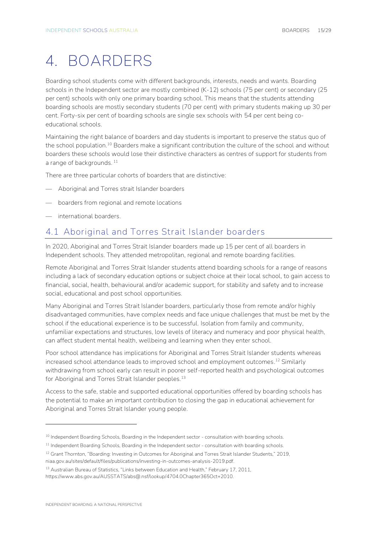## <span id="page-14-0"></span>4. BOARDERS

Boarding school students come with different backgrounds, interests, needs and wants. Boarding schools in the Independent sector are mostly combined (K-12) schools (75 per cent) or secondary (25 per cent) schools with only one primary boarding school. This means that the students attending boarding schools are mostly secondary students (70 per cent) with primary students making up 30 per cent. Forty-six per cent of boarding schools are single sex schools with 54 per cent being coeducational schools.

Maintaining the right balance of boarders and day students is important to preserve the status quo of the school population.<sup>10</sup> Boarders make a significant contribution the culture of the school and without boarders these schools would lose their distinctive characters as centres of support for students from a range of backgrounds.<sup>11</sup>

There are three particular cohorts of boarders that are distinctive:

- Aboriginal and Torres strait Islander boarders
- boarders from regional and remote locations
- international boarders.

## <span id="page-14-1"></span>**4.1 Aboriginal and Torres Strait Islander boarders**

In 2020, Aboriginal and Torres Strait Islander boarders made up 15 per cent of all boarders in Independent schools. They attended metropolitan, regional and remote boarding facilities.

Remote Aboriginal and Torres Strait Islander students attend boarding schools for a range of reasons including a lack of secondary education options or subject choice at their local school, to gain access to financial, social, health, behavioural and/or academic support, for stability and safety and to increase social, educational and post school opportunities.

Many Aboriginal and Torres Strait Islander boarders, particularly those from remote and/or highly disadvantaged communities, have complex needs and face unique challenges that must be met by the school if the educational experience is to be successful. Isolation from family and community, unfamiliar expectations and structures, low levels of literacy and numeracy and poor physical health, can affect student mental health, wellbeing and learning when they enter school.

Poor school attendance has implications for Aboriginal and Torres Strait Islander students whereas increased school attendance leads to improved school and employment outcomes. <sup>12</sup> Similarly withdrawing from school early can result in poorer self-reported health and psychological outcomes for Aboriginal and Torres Strait Islander peoples.<sup>13</sup>

Access to the safe, stable and supported educational opportunities offered by boarding schools has the potential to make an important contribution to closing the gap in educational achievement for Aboriginal and Torres Strait Islander young people.

<sup>&</sup>lt;sup>10</sup> Independent Boarding Schools, Boarding in the Independent sector - consultation with boarding schools.

<sup>&</sup>lt;sup>11</sup> Independent Boarding Schools, Boarding in the Independent sector - consultation with boarding schools.

<sup>&</sup>lt;sup>12</sup> Grant Thornton, "Boarding: Investing in Outcomes for Aboriginal and Torres Strait Islander Students," 2019, niaa.gov.au/sites/default/files/publications/investing-in-outcomes-analysis-2019.pdf.

<sup>&</sup>lt;sup>13</sup> Australian Bureau of Statistics, "Links between Education and Health," February 17, 2011,

https://www.abs.gov.au/AUSSTATS/abs@.nsf/lookup/4704.0Chapter365Oct+2010.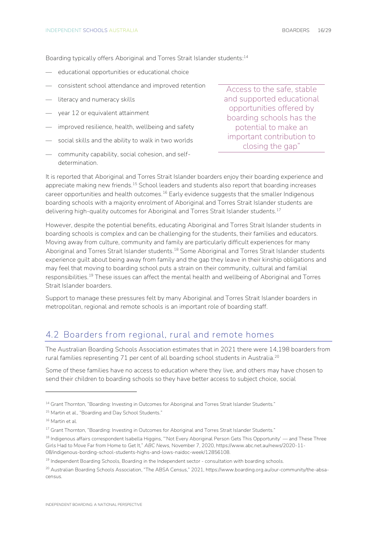Boarding typically offers Aboriginal and Torres Strait Islander students: 14

- educational opportunities or educational choice
- consistent school attendance and improved retention
- literacy and numeracy skills
- year 12 or equivalent attainment
- improved resilience, health, wellbeing and safety
- social skills and the ability to walk in two worlds
- community capability, social cohesion, and selfdetermination.

Access to the safe, stable and supported educational opportunities offered by boarding schools has the potential to make an important contribution to closing the gap"

It is reported that Aboriginal and Torres Strait Islander boarders enjoy their boarding experience and appreciate making new friends.<sup>15</sup> School leaders and students also report that boarding increases career opportunities and health outcomes.<sup>16</sup> Early evidence suggests that the smaller Indigenous boarding schools with a majority enrolment of Aboriginal and Torres Strait Islander students are delivering high-quality outcomes for Aboriginal and Torres Strait Islander students.<sup>17</sup>

However, despite the potential benefits, educating Aboriginal and Torres Strait Islander students in boarding schools is complex and can be challenging for the students, their families and educators. Moving away from culture, community and family are particularly difficult experiences for many Aboriginal and Torres Strait Islander students.<sup>18</sup> Some Aboriginal and Torres Strait Islander students experience guilt about being away from family and the gap they leave in their kinship obligations and may feel that moving to boarding school puts a strain on their community, cultural and familial responsibilities.<sup>19</sup> These issues can affect the mental health and wellbeing of Aboriginal and Torres Strait Islander boarders.

Support to manage these pressures felt by many Aboriginal and Torres Strait Islander boarders in metropolitan, regional and remote schools is an important role of boarding staff.

### <span id="page-15-0"></span>**4.2 Boarders from regional, rural and remote homes**

The Australian Boarding Schools Association estimates that in 2021 there were 14,198 boarders from rural families representing 71 per cent of all boarding school students in Australia.<sup>20</sup>

Some of these families have no access to education where they live, and others may have chosen to send their children to boarding schools so they have better access to subject choice, social

<sup>&</sup>lt;sup>14</sup> Grant Thornton, "Boarding: Investing in Outcomes for Aboriginal and Torres Strait Islander Students."

<sup>&</sup>lt;sup>15</sup> Martin et al., "Boarding and Day School Students."

<sup>16</sup> Martin et al.

<sup>&</sup>lt;sup>17</sup> Grant Thornton, "Boarding: Investing in Outcomes for Aboriginal and Torres Strait Islander Students."

<sup>&</sup>lt;sup>18</sup> Indigenous affairs correspondent Isabella Higgins, "'Not Every Aboriginal Person Gets This Opportunity' — and These Three Girls Had to Move Far from Home to Get It," *ABC News*, November 7, 2020, https://www.abc.net.au/news/2020-11- 08/indigenous-bording-school-students-highs-and-lows-naidoc-week/12856108.

<sup>&</sup>lt;sup>19</sup> Independent Boarding Schools, Boarding in the Independent sector - consultation with boarding schools.

<sup>&</sup>lt;sup>20</sup> Australian Boarding Schools Association, "The ABSA Census," 2021, https://www.boarding.org.au/our-community/the-absacensus.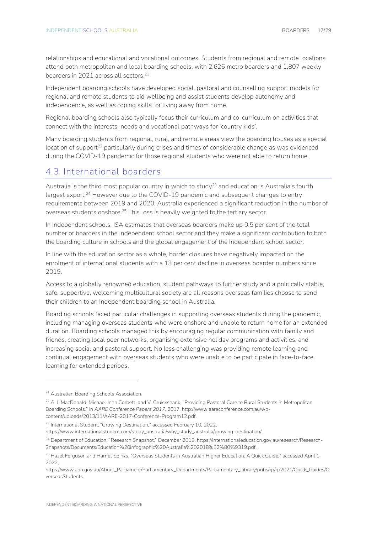relationships and educational and vocational outcomes. Students from regional and remote locations attend both metropolitan and local boarding schools, with 2,626 metro boarders and 1,807 weekly boarders in 2021 across all sectors. 21

Independent boarding schools have developed social, pastoral and counselling support models for regional and remote students to aid wellbeing and assist students develop autonomy and independence, as well as coping skills for living away from home.

Regional boarding schools also typically focus their curriculum and co-curriculum on activities that connect with the interests, needs and vocational pathways for 'country kids'.

Many boarding students from regional, rural, and remote areas view the boarding houses as a special  $\alpha$  location of support<sup>22</sup> particularly during crises and times of considerable change as was evidenced during the COVID-19 pandemic for those regional students who were not able to return home.

### <span id="page-16-0"></span>**4.3 International boarders**

Australia is the third most popular country in which to study<sup>23</sup> and education is Australia's fourth largest export.<sup>24</sup> However due to the COVID-19 pandemic and subsequent changes to entry requirements between 2019 and 2020, Australia experienced a significant reduction in the number of overseas students onshore.<sup>25</sup> This loss is heavily weighted to the tertiary sector.

In Independent schools, ISA estimates that overseas boarders make up 0.5 per cent of the total number of boarders in the Independent school sector and they make a significant contribution to both the boarding culture in schools and the global engagement of the Independent school sector.

In line with the education sector as a whole, border closures have negatively impacted on the enrolment of international students with a 13 per cent decline in overseas boarder numbers since 2019.

Access to a globally renowned education, student pathways to further study and a politically stable, safe, supportive, welcoming multicultural society are all reasons overseas families choose to send their children to an Independent boarding school in Australia.

Boarding schools faced particular challenges in supporting overseas students during the pandemic, including managing overseas students who were onshore and unable to return home for an extended duration. Boarding schools managed this by encouraging regular communication with family and friends, creating local peer networks, organising extensive holiday programs and activities, and increasing social and pastoral support. No less challenging was providing remote learning and continual engagement with overseas students who were unable to be participate in face-to-face learning for extended periods.

<sup>&</sup>lt;sup>21</sup> Australian Boarding Schools Association.

<sup>&</sup>lt;sup>22</sup> A. J. MacDonald, Michael John Corbett, and V. Cruickshank, "Providing Pastoral Care to Rural Students in Metropolitan Boarding Schools," in *AARE Conference Papers 2017*, 2017, http://www.aareconference.com.au/wpcontent/uploads/2013/11/AARE-2017-Conference-Program12.pdf.

<sup>23</sup> International Student, "Growing Destination," accessed February 10, 2022,

https://www.internationalstudent.com/study\_australia/why\_study\_australia/growing-destination/.

<sup>&</sup>lt;sup>24</sup> Department of Education, "Research Snapshot," December 2019, https://internationaleducation.gov.au/research/Research-Snapshots/Documents/Education%20infographic%20Australia%202018%E2%80%9319.pdf.

<sup>&</sup>lt;sup>25</sup> Hazel Ferguson and Harriet Spinks, "Overseas Students in Australian Higher Education: A Quick Guide," accessed April 1, 2022,

https://www.aph.gov.au/About\_Parliament/Parliamentary\_Departments/Parliamentary\_Library/pubs/rp/rp2021/Quick\_Guides/O verseasStudents.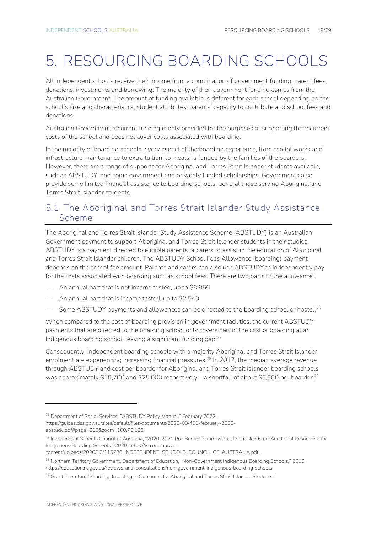# <span id="page-17-0"></span>5. RESOURCING BOARDING SCHOOLS

All Independent schools receive their income from a combination of government funding, parent fees, donations, investments and borrowing. The majority of their government funding comes from the Australian Government. The amount of funding available is different for each school depending on the school's size and characteristics, student attributes, parents' capacity to contribute and school fees and donations.

Australian Government recurrent funding is only provided for the purposes of supporting the recurrent costs of the school and does not cover costs associated with boarding.

In the majority of boarding schools, every aspect of the boarding experience, from capital works and infrastructure maintenance to extra tuition, to meals, is funded by the families of the boarders. However, there are a range of supports for Aboriginal and Torres Strait Islander students available, such as ABSTUDY, and some government and privately funded scholarships. Governments also provide some limited financial assistance to boarding schools, general those serving Aboriginal and Torres Strait Islander students.

### <span id="page-17-1"></span>**5.1 The Aboriginal and Torres Strait Islander Study Assistance Scheme**

The Aboriginal and Torres Strait Islander Study Assistance Scheme (ABSTUDY) is an Australian Government payment to support Aboriginal and Torres Strait Islander students in their studies. ABSTUDY is a payment directed to eligible parents or carers to assist in the education of Aboriginal and Torres Strait Islander children. The ABSTUDY School Fees Allowance (boarding) payment depends on the school fee amount. Parents and carers can also use ABSTUDY to independently pay for the costs associated with boarding such as school fees. There are two parts to the allowance:

- An annual part that is not income tested, up to \$8,856
- An annual part that is income tested, up to \$2,540
- Some ABSTUDY payments and allowances can be directed to the boarding school or hostel.<sup>26</sup>

When compared to the cost of boarding provision in government facilities, the current ABSTUDY payments that are directed to the boarding school only covers part of the cost of boarding at an Indigenous boarding school, leaving a significant funding gap.<sup>27</sup>

Consequently, Independent boarding schools with a majority Aboriginal and Torres Strait Islander enrolment are experiencing increasing financial pressures.<sup>28</sup> In 2017, the median average revenue through ABSTUDY and cost per boarder for Aboriginal and Torres Strait Islander boarding schools was approximately \$18,700 and \$25,000 respectively—a shortfall of about \$6,300 per boarder.<sup>29</sup>

<sup>&</sup>lt;sup>26</sup> Department of Social Services, "ABSTUDY Policy Manual," February 2022,

https://guides.dss.gov.au/sites/default/files/documents/2022-03/401-february-2022-

abstudy.pdf#page=216&zoom=100,72,123.

<sup>&</sup>lt;sup>27</sup> Independent Schools Council of Australia, "2020-2021 Pre-Budget Submission: Urgent Needs for Additional Resourcing for Indigenous Boarding Schools," 2020, https://isa.edu.au/wp-

content/uploads/2020/10/115786\_INDEPENDENT\_SCHOOLS\_COUNCIL\_OF\_AUSTRALIA.pdf.

<sup>&</sup>lt;sup>28</sup> Northern Territory Government, Department of Education, "Non-Government Indigenous Boarding Schools," 2016, https://education.nt.gov.au/reviews-and-consultations/non-government-indigenous-boarding-schools.

<sup>&</sup>lt;sup>29</sup> Grant Thornton, "Boarding: Investing in Outcomes for Aboriginal and Torres Strait Islander Students."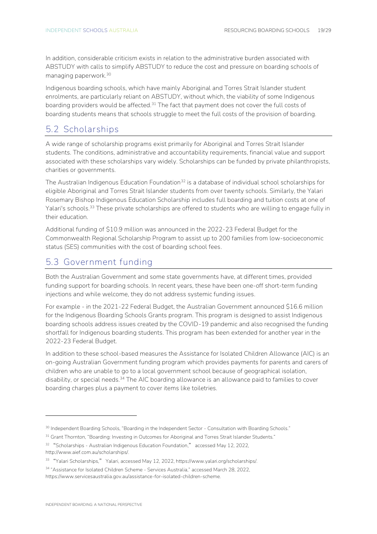In addition, considerable criticism exists in relation to the administrative burden associated with ABSTUDY with calls to simplify ABSTUDY to reduce the cost and pressure on boarding schools of managing paperwork.<sup>30</sup>

Indigenous boarding schools, which have mainly Aboriginal and Torres Strait Islander student enrolments, are particularly reliant on ABSTUDY, without which, the viability of some Indigenous boarding providers would be affected.<sup>31</sup> The fact that payment does not cover the full costs of boarding students means that schools struggle to meet the full costs of the provision of boarding.

#### <span id="page-18-0"></span>**5.2 Scholarships**

A wide range of scholarship programs exist primarily for Aboriginal and Torres Strait Islander students. The conditions, administrative and accountability requirements, financial value and support associated with these scholarships vary widely. Scholarships can be funded by private philanthropists, charities or governments.

The Australian Indigenous Education Foundation<sup>32</sup> is a database of individual school scholarships for eligible Aboriginal and Torres Strait Islander students from over twenty schools. Similarly, the Yalari Rosemary Bishop Indigenous Education Scholarship includes full boarding and tuition costs at one of Yalari's schools.<sup>33</sup> These private scholarships are offered to students who are willing to engage fully in their education.

Additional funding of \$10.9 million was announced in the 2022-23 Federal Budget for the Commonwealth Regional Scholarship Program to assist up to 200 families from low-socioeconomic status (SES) communities with the cost of boarding school fees.

### <span id="page-18-1"></span>**5.3 Government funding**

Both the Australian Government and some state governments have, at different times, provided funding support for boarding schools. In recent years, these have been one-off short-term funding injections and while welcome, they do not address systemic funding issues.

For example - in the 2021-22 Federal Budget, the Australian Government announced \$16.6 million for the Indigenous Boarding Schools Grants program. This program is designed to assist Indigenous boarding schools address issues created by the COVID-19 pandemic and also recognised the funding shortfall for Indigenous boarding students. This program has been extended for another year in the 2022-23 Federal Budget.

In addition to these school-based measures the Assistance for Isolated Children Allowance (AIC) is an on-going Australian Government funding program which provides payments for parents and carers of children who are unable to go to a local government school because of geographical isolation, disability, or special needs.<sup>34</sup> The AIC boarding allowance is an allowance paid to families to cover boarding charges plus a payment to cover items like toiletries.

<sup>32</sup> "Scholarships - Australian Indigenous Education Foundation," accessed May 12, 2022, http://www.aief.com.au/scholarships/.

<sup>&</sup>lt;sup>30</sup> Independent Boarding Schools, "Boarding in the Independent Sector - Consultation with Boarding Schools."

<sup>&</sup>lt;sup>31</sup> Grant Thornton, "Boarding: Investing in Outcomes for Aboriginal and Torres Strait Islander Students."

<sup>33</sup> "Yalari Scholarships," Yalari, accessed May 12, 2022, https://www.yalari.org/scholarships/.

<sup>34</sup> "Assistance for Isolated Children Scheme - Services Australia," accessed March 28, 2022,

https://www.servicesaustralia.gov.au/assistance-for-isolated-children-scheme.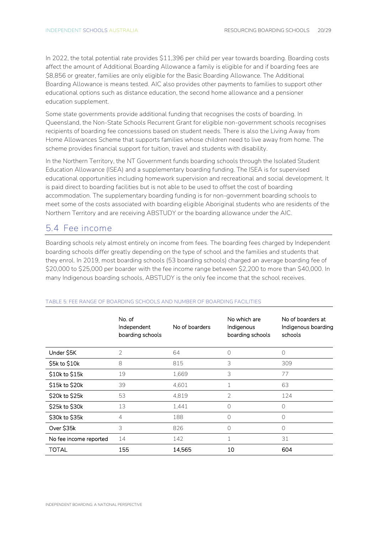In 2022, the total potential rate provides \$11,396 per child per year towards boarding. Boarding costs affect the amount of Additional Boarding Allowance a family is eligible for and if boarding fees are \$8,856 or greater, families are only eligible for the Basic Boarding Allowance. The Additional Boarding Allowance is means tested. AIC also provides other payments to families to support other educational options such as distance education, the second home allowance and a pensioner education supplement.

Some state governments provide additional funding that recognises the costs of boarding. In Queensland, the Non-State Schools Recurrent Grant for eligible non-government schools recognises recipients of boarding fee concessions based on student needs. There is also the Living Away from Home Allowances Scheme that supports families whose children need to live away from home. The scheme provides financial support for tuition, travel and students with disability.

In the Northern Territory, the NT Government funds boarding schools through the Isolated Student Education Allowance (ISEA) and a supplementary boarding funding. The ISEA is for supervised educational opportunities including homework supervision and recreational and social development. It is paid direct to boarding facilities but is not able to be used to offset the cost of boarding accommodation. The supplementary boarding funding is for non-government boarding schools to meet some of the costs associated with boarding eligible Aboriginal students who are residents of the Northern Territory and are receiving ABSTUDY or the boarding allowance under the AIC.

### <span id="page-19-0"></span>**5.4 Fee income**

Boarding schools rely almost entirely on income from fees. The boarding fees charged by Independent boarding schools differ greatly depending on the type of school and the families and students that they enrol. In 2019, most boarding schools (53 boarding schools) charged an average boarding fee of \$20,000 to \$25,000 per boarder with the fee income range between \$2,200 to more than \$40,000. In many Indigenous boarding schools, ABSTUDY is the only fee income that the school receives.

|                        | No. of<br>Independent<br>boarding schools | No of boarders | No which are<br>Indigenous<br>boarding schools | No of boarders at<br>Indigenous boarding<br>schools |
|------------------------|-------------------------------------------|----------------|------------------------------------------------|-----------------------------------------------------|
| Under S5K              | $\mathcal{P}$                             | 64             | 0                                              | 0                                                   |
| S5k to \$10k           | 8                                         | 815            | 3                                              | 309                                                 |
| \$10k to \$15k         | 19                                        | 1,669          | 3                                              | 77                                                  |
| \$15k to \$20k         | 39                                        | 4,601          |                                                | 63                                                  |
| \$20k to \$25k         | 53                                        | 4,819          | 2                                              | 124                                                 |
| \$25k to \$30k         | 13                                        | 1,441          | 0                                              | 0                                                   |
| \$30k to \$35k         | 4                                         | 188            | 0                                              | 0                                                   |
| Over \$35k             | 3                                         | 826            | 0                                              | 0                                                   |
| No fee income reported | 14                                        | 142            |                                                | 31                                                  |
| TOTAL                  | 155                                       | 14,565         | 10                                             | 604                                                 |

#### **TABLE 5: FEE RANGE OF BOARDING SCHOOLS AND NUMBER OF BOARDING FACILITIES**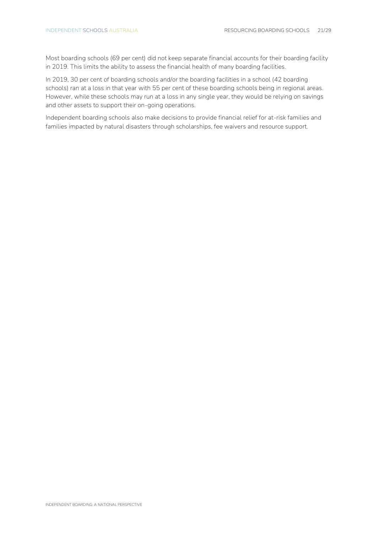Most boarding schools (69 per cent) did not keep separate financial accounts for their boarding facility in 2019. This limits the ability to assess the financial health of many boarding facilities.

In 2019, 30 per cent of boarding schools and/or the boarding facilities in a school (42 boarding schools) ran at a loss in that year with 55 per cent of these boarding schools being in regional areas. However, while these schools may run at a loss in any single year, they would be relying on savings and other assets to support their on-going operations.

Independent boarding schools also make decisions to provide financial relief for at-risk families and families impacted by natural disasters through scholarships, fee waivers and resource support.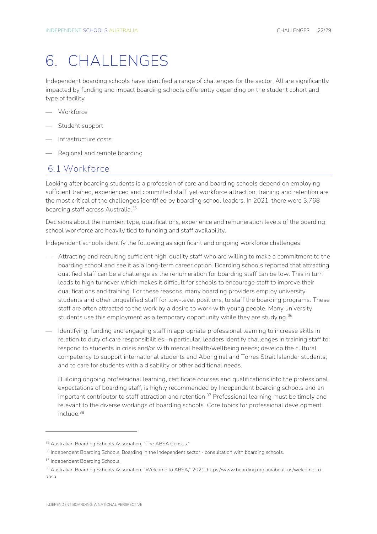## <span id="page-21-0"></span>6. CHALLENGES

Independent boarding schools have identified a range of challenges for the sector. All are significantly impacted by funding and impact boarding schools differently depending on the student cohort and type of facility

- Workforce
- Student support
- Infrastructure costs
- Regional and remote boarding

#### <span id="page-21-1"></span>**6.1 Workforce**

Looking after boarding students is a profession of care and boarding schools depend on employing sufficient trained, experienced and committed staff, yet workforce attraction, training and retention are the most critical of the challenges identified by boarding school leaders. In 2021, there were 3,768 boarding staff across Australia.<sup>35</sup>

Decisions about the number, type, qualifications, experience and remuneration levels of the boarding school workforce are heavily tied to funding and staff availability.

Independent schools identify the following as significant and ongoing workforce challenges:

- Attracting and recruiting sufficient high-quality staff who are willing to make a commitment to the boarding school and see it as a long-term career option. Boarding schools reported that attracting qualified staff can be a challenge as the renumeration for boarding staff can be low. This in turn leads to high turnover which makes it difficult for schools to encourage staff to improve their qualifications and training. For these reasons, many boarding providers employ university students and other unqualified staff for low-level positions, to staff the boarding programs. These staff are often attracted to the work by a desire to work with young people. Many university students use this employment as a temporary opportunity while they are studying.<sup>36</sup>
- Identifying, funding and engaging staff in appropriate professional learning to increase skills in relation to duty of care responsibilities. In particular, leaders identify challenges in training staff to: respond to students in crisis and/or with mental health/wellbeing needs; develop the cultural competency to support international students and Aboriginal and Torres Strait Islander students; and to care for students with a disability or other additional needs.

Building ongoing professional learning, certificate courses and qualifications into the professional expectations of boarding staff, is highly recommended by Independent boarding schools and an important contributor to staff attraction and retention. <sup>37</sup> Professional learning must be timely and relevant to the diverse workings of boarding schools. Core topics for professional development include:<sup>38</sup>

<sup>&</sup>lt;sup>35</sup> Australian Boarding Schools Association, "The ABSA Census."

<sup>&</sup>lt;sup>36</sup> Independent Boarding Schools, Boarding in the Independent sector - consultation with boarding schools.

<sup>&</sup>lt;sup>37</sup> Independent Boarding Schools.

<sup>38</sup> Australian Boarding Schools Association, "Welcome to ABSA," 2021, https://www.boarding.org.au/about-us/welcome-toabsa.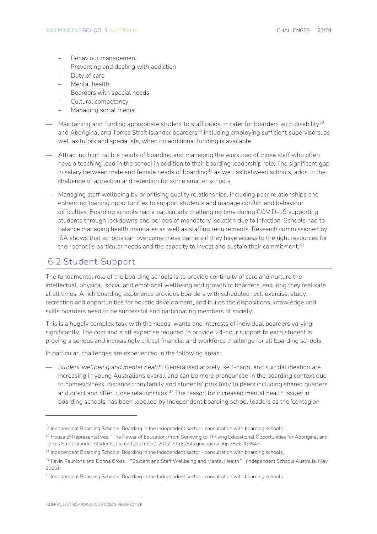- Behaviour management
- Preventing and dealing with addiction
- Duty of care
- Mental health
- Boarders with special needs
- Cultural competency
- Managing social media.
- $-$  Maintaining and funding appropriate student to staff ratios to cater for boarders with disability<sup>39</sup> and Aboriginal and Torres Strait Islander boarders<sup>40</sup> including employing sufficient supervisors, as well as tutors and specialists, when no additional funding is available.
- Attracting high calibre heads of boarding and managing the workload of those staff who often have a teaching load in the school in addition to their boarding leadership role. The significant gap in salary between male and female heads of boarding<sup>41</sup> as well as between schools, adds to the challenge of attraction and retention for some smaller schools.
- Managing staff wellbeing by prioritising quality relationships, including peer relationships and enhancing training opportunities to support students and manage conflict and behaviour difficulties. Boarding schools had a particularly challenging time during COVID-19 supporting students through lockdowns and periods of mandatory isolation due to infection. Schools had to balance managing health mandates as well as staffing requirements. Research commissioned by ISA shows that schools can overcome these barriers if they have access to the right resources for their school's particular needs and the capacity to invest and sustain their commitment.<sup>42</sup>

## <span id="page-22-0"></span>**6.2 Student Support**

The fundamental role of the boarding schools is to provide continuity of care and nurture the intellectual, physical, social and emotional wellbeing and growth of boarders, ensuring they feel safe at all times. A rich boarding experience provides boarders with scheduled rest, exercise, study, recreation and opportunities for holistic development, and builds the dispositions, knowledge and skills boarders need to be successful and participating members of society.

This is a hugely complex task with the needs, wants and interests of individual boarders varying significantly. The cost and staff expertise required to provide 24-hour support to each student is proving a serious and increasingly critical financial and workforce challenge for all boarding schools.

In particular, challenges are experienced in the following areas:

— *Student wellbeing and mental health*: Generalised anxiety, self-harm, and suicidal ideation are increasing in young Australians overall and can be more pronounced in the boarding context due to homesickness, distance from family and students' proximity to peers including shared quarters and direct and often close relationships.<sup>43</sup> The reason for increased mental health issues in boarding schools has been labelled by Independent boarding school leaders as the 'contagion

<sup>&</sup>lt;sup>39</sup> Independent Boarding Schools, Boarding in the Independent sector - consultation with boarding schools.

<sup>40</sup> House of Representatives, "The Power of Education: From Surviving to Thriving Educational Opportunities for Aboriginal and Torres Strait Islander Students, Dated December," 2017, https://nla.gov.au/nla.obj-2826003547.

<sup>&</sup>lt;sup>41</sup> Independent Boarding Schools, Boarding in the Independent sector - consultation with boarding schools.

<sup>42</sup> Kevin Reunions and Donna Cross, "Student and Staff Wellbeing and Mental Health" (Independent Schools Australia, May 2022).

<sup>43</sup> Independent Boarding Schools, Boarding in the Independent sector - consultation with boarding schools.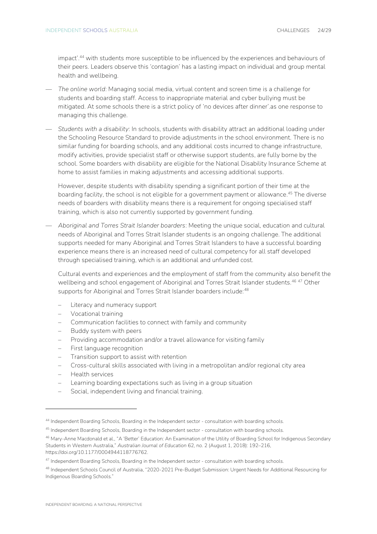impact'. <sup>44</sup> with students more susceptible to be influenced by the experiences and behaviours of their peers. Leaders observe this 'contagion' has a lasting impact on individual and group mental health and wellbeing.

- *The online world*: Managing social media, virtual content and screen time is a challenge for students and boarding staff. Access to inappropriate material and cyber bullying must be mitigated. At some schools there is a strict policy of 'no devices after dinner'.as one response to managing this challenge.
- *Students with a disability*: In schools, students with disability attract an additional loading under the Schooling Resource Standard to provide adjustments in the school environment. There is no similar funding for boarding schools, and any additional costs incurred to change infrastructure, modify activities, provide specialist staff or otherwise support students, are fully borne by the school. Some boarders with disability are eligible for the National Disability Insurance Scheme at home to assist families in making adjustments and accessing additional supports.

However, despite students with disability spending a significant portion of their time at the boarding facility, the school is not eligible for a government payment or allowance. <sup>45</sup> The diverse needs of boarders with disability means there is a requirement for ongoing specialised staff training, which is also not currently supported by government funding.

— *Aboriginal and Torres Strait Islander boarders*: Meeting the unique social, education and cultural needs of Aboriginal and Torres Strait Islander students is an ongoing challenge. The additional supports needed for many Aboriginal and Torres Strait Islanders to have a successful boarding experience means there is an increased need of cultural competency for all staff developed through specialised training, which is an additional and unfunded cost.

Cultural events and experiences and the employment of staff from the community also benefit the wellbeing and school engagement of Aboriginal and Torres Strait Islander students.<sup>46 47</sup> Other supports for Aboriginal and Torres Strait Islander boarders include: 48

- Literacy and numeracy support
- Vocational training
- Communication facilities to connect with family and community
- Buddy system with peers
- Providing accommodation and/or a travel allowance for visiting family
- First language recognition
- Transition support to assist with retention
- Cross-cultural skills associated with living in a metropolitan and/or regional city area
- Health services
- Learning boarding expectations such as living in a group situation
- Social, independent living and financial training.

<sup>44</sup> Independent Boarding Schools, Boarding in the Independent sector - consultation with boarding schools.

<sup>45</sup> Independent Boarding Schools, Boarding in the Independent sector - consultation with boarding schools.

<sup>46</sup> Mary-Anne Macdonald et al., "A 'Better' Education: An Examination of the Utility of Boarding School for Indigenous Secondary Students in Western Australia," *Australian Journal of Education* 62, no. 2 (August 1, 2018): 192–216, https://doi.org/10.1177/0004944118776762.

<sup>47</sup> Independent Boarding Schools, Boarding in the Independent sector - consultation with boarding schools.

<sup>48</sup> Independent Schools Council of Australia, "2020-2021 Pre-Budget Submission: Urgent Needs for Additional Resourcing for Indigenous Boarding Schools."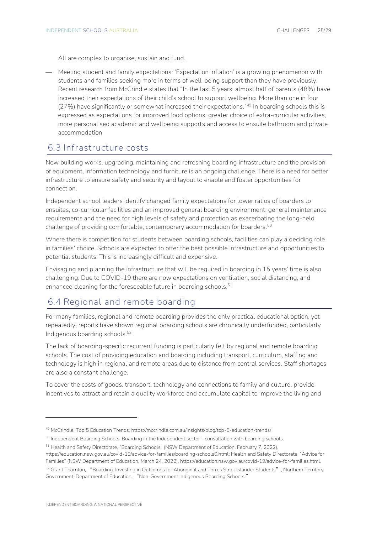All are complex to organise, sustain and fund.

— Meeting student and family expectations: 'Expectation inflation' is a growing phenomenon with students and families seeking more in terms of well-being support than they have previously. Recent research from McCrindle states that "In the last 5 years, almost half of parents (48%) have increased their expectations of their child's school to support wellbeing. More than one in four (27%) have significantly or somewhat increased their expectations." <sup>49</sup> In boarding schools this is expressed as expectations for improved food options, greater choice of extra-curricular activities, more personalised academic and wellbeing supports and access to ensuite bathroom and private accommodation

#### <span id="page-24-0"></span>**6.3 Infrastructure costs**

New building works, upgrading, maintaining and refreshing boarding infrastructure and the provision of equipment, information technology and furniture is an ongoing challenge. There is a need for better infrastructure to ensure safety and security and layout to enable and foster opportunities for connection.

Independent school leaders identify changed family expectations for lower ratios of boarders to ensuites, co-curricular facilities and an improved general boarding environment; general maintenance requirements and the need for high levels of safety and protection as exacerbating the long-held challenge of providing comfortable, contemporary accommodation for boarders. 50

Where there is competition for students between boarding schools, facilities can play a deciding role in families' choice. Schools are expected to offer the best possible infrastructure and opportunities to potential students. This is increasingly difficult and expensive.

Envisaging and planning the infrastructure that will be required in boarding in 15 years' time is also challenging. Due to COVID-19 there are now expectations on ventilation, social distancing, and enhanced cleaning for the foreseeable future in boarding schools.<sup>51</sup>

#### <span id="page-24-1"></span>**6.4 Regional and remote boarding**

For many families, regional and remote boarding provides the only practical educational option, yet repeatedly, reports have shown regional boarding schools are chronically underfunded, particularly Indigenous boarding schools. 52

The lack of boarding-specific recurrent funding is particularly felt by regional and remote boarding schools. The cost of providing education and boarding including transport, curriculum, staffing and technology is high in regional and remote areas due to distance from central services. Staff shortages are also a constant challenge.

To cover the costs of goods, transport, technology and connections to family and culture, provide incentives to attract and retain a quality workforce and accumulate capital to improve the living and

https://education.nsw.gov.au/covid-19/advice-for-families/boarding-schools0.html; Health and Safety Directorate, "Advice for Families" (NSW Department of Education, March 24, 2022), https://education.nsw.gov.au/covid-19/advice-for-families.html.

<sup>49</sup> McCrindle, Top 5 Education Trends, https://mccrindle.com.au/insights/blog/top-5-education-trends/

<sup>&</sup>lt;sup>50</sup> Independent Boarding Schools, Boarding in the Independent sector - consultation with boarding schools.

<sup>&</sup>lt;sup>51</sup> Health and Safety Directorate, "Boarding Schools" (NSW Department of Education, February 7, 2022),

<sup>&</sup>lt;sup>52</sup> Grant Thornton, "Boarding: Investing in Outcomes for Aboriginal and Torres Strait Islander Students"; Northern Territory Government, Department of Education, "Non-Government Indigenous Boarding Schools."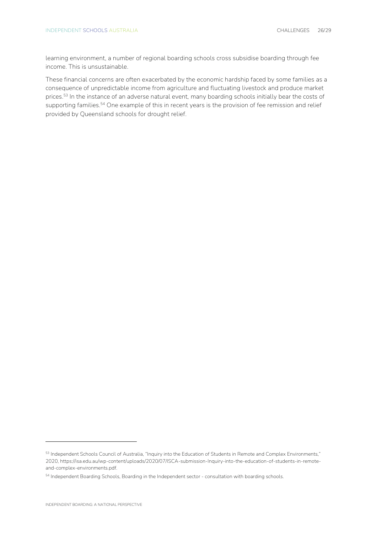learning environment, a number of regional boarding schools cross subsidise boarding through fee income. This is unsustainable.

These financial concerns are often exacerbated by the economic hardship faced by some families as a consequence of unpredictable income from agriculture and fluctuating livestock and produce market prices.<sup>53</sup> In the instance of an adverse natural event, many boarding schools initially bear the costs of supporting families.<sup>54</sup> One example of this in recent years is the provision of fee remission and relief provided by Queensland schools for drought relief.

<sup>53</sup> Independent Schools Council of Australia, "Inquiry into the Education of Students in Remote and Complex Environments," 2020, https://isa.edu.au/wp-content/uploads/2020/07/ISCA-submission-Inquiry-into-the-education-of-students-in-remoteand-complex-environments.pdf.

<sup>54</sup> Independent Boarding Schools, Boarding in the Independent sector - consultation with boarding schools.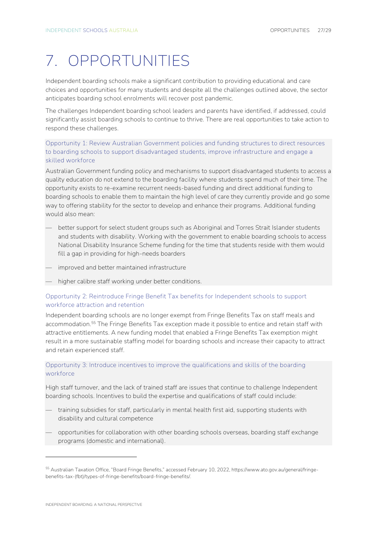# <span id="page-26-0"></span>7. OPPORTUNITIES

Independent boarding schools make a significant contribution to providing educational and care choices and opportunities for many students and despite all the challenges outlined above, the sector anticipates boarding school enrolments will recover post pandemic.

The challenges Independent boarding school leaders and parents have identified, if addressed, could significantly assist boarding schools to continue to thrive. There are real opportunities to take action to respond these challenges.

**Opportunity 1: Review Australian Government policies and funding structures to direct resources to boarding schools to support disadvantaged students, improve infrastructure and engage a skilled workforce**

Australian Government funding policy and mechanisms to support disadvantaged students to access a quality education do not extend to the boarding facility where students spend much of their time. The opportunity exists to re-examine recurrent needs-based funding and direct additional funding to boarding schools to enable them to maintain the high level of care they currently provide and go some way to offering stability for the sector to develop and enhance their programs. Additional funding would also mean:

- better support for select student groups such as Aboriginal and Torres Strait Islander students and students with disability. Working with the government to enable boarding schools to access National Disability Insurance Scheme funding for the time that students reside with them would fill a gap in providing for high-needs boarders
- improved and better maintained infrastructure
- higher calibre staff working under better conditions.

#### **Opportunity 2: Reintroduce Fringe Benefit Tax benefits for Independent schools to support workforce attraction and retention**

Independent boarding schools are no longer exempt from Fringe Benefits Tax on staff meals and accommodation.<sup>55</sup> The Fringe Benefits Tax exception made it possible to entice and retain staff with attractive entitlements. A new funding model that enabled a Fringe Benefits Tax exemption might result in a more sustainable staffing model for boarding schools and increase their capacity to attract and retain experienced staff.

#### **Opportunity 3: Introduce incentives to improve the qualifications and skills of the boarding workforce**

High staff turnover, and the lack of trained staff are issues that continue to challenge Independent boarding schools. Incentives to build the expertise and qualifications of staff could include:

- training subsidies for staff, particularly in mental health first aid, supporting students with disability and cultural competence
- opportunities for collaboration with other boarding schools overseas, boarding staff exchange programs (domestic and international).

<sup>55</sup> Australian Taxation Office, "Board Fringe Benefits," accessed February 10, 2022, https://www.ato.gov.au/general/fringebenefits-tax-(fbt)/types-of-fringe-benefits/board-fringe-benefits/.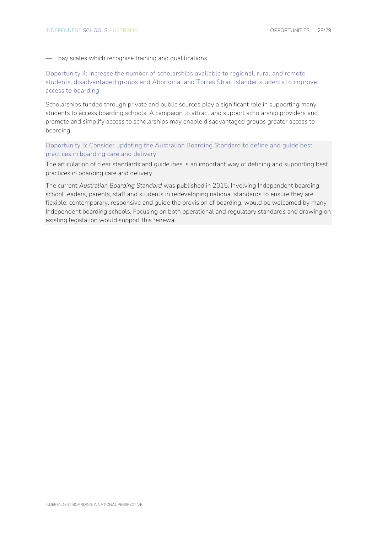— pay scales which recognise training and qualifications.

**Opportunity 4: Increase the number of scholarships available to regional, rural and remote students, disadvantaged groups and Aboriginal and Torres Strait Islander students to improve access to boarding**

Scholarships funded through private and public sources play a significant role in supporting many students to access boarding schools. A campaign to attract and support scholarship providers and promote and simplify access to scholarships may enable disadvantaged groups greater access to boarding.

**Opportunity 5: Consider updating the Australian Boarding Standard to define and guide best practices in boarding care and delivery**

The articulation of clear standards and guidelines is an important way of defining and supporting best practices in boarding care and delivery.

The current *Australian Boarding Standard* was published in 2015. Involving Independent boarding school leaders, parents, staff and students in redeveloping national standards to ensure they are flexible, contemporary, responsive and guide the provision of boarding, would be welcomed by many Independent boarding schools. Focusing on both operational and regulatory standards and drawing on existing legislation would support this renewal.